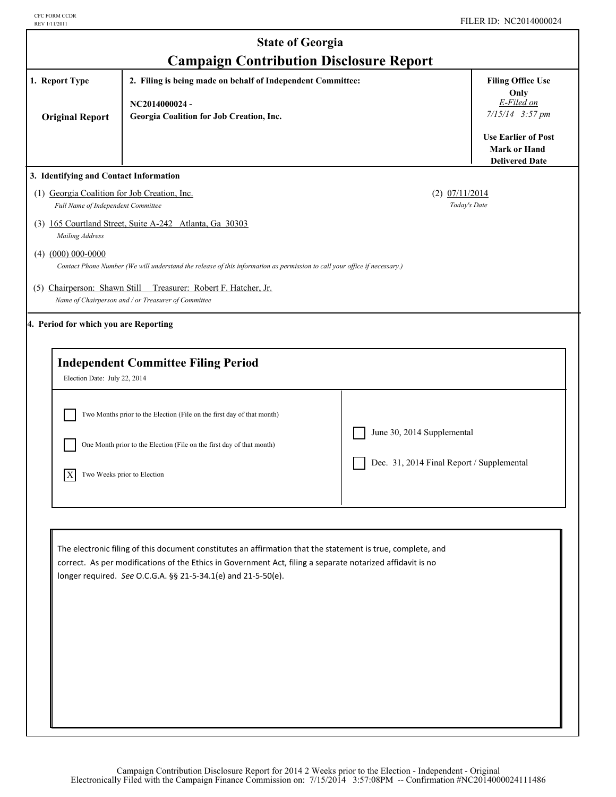|                                                                                                                                                                                                           | <b>State of Georgia</b>                                                                                                                                                                                                                                                                    |                                                                         |                                                                            |  |
|-----------------------------------------------------------------------------------------------------------------------------------------------------------------------------------------------------------|--------------------------------------------------------------------------------------------------------------------------------------------------------------------------------------------------------------------------------------------------------------------------------------------|-------------------------------------------------------------------------|----------------------------------------------------------------------------|--|
| 1. Report Type<br><b>Original Report</b>                                                                                                                                                                  | <b>Campaign Contribution Disclosure Report</b><br>2. Filing is being made on behalf of Independent Committee:<br>NC2014000024-<br>Georgia Coalition for Job Creation, Inc.                                                                                                                 |                                                                         |                                                                            |  |
|                                                                                                                                                                                                           |                                                                                                                                                                                                                                                                                            |                                                                         | <b>Use Earlier of Post</b><br><b>Mark or Hand</b><br><b>Delivered Date</b> |  |
| 3. Identifying and Contact Information<br>(1) Georgia Coalition for Job Creation, Inc.<br>Full Name of Independent Committee<br>Mailing Address<br>$(4)$ $(000)$ 000-0000<br>(5) Chairperson: Shawn Still | (3) 165 Courtland Street, Suite A-242 Atlanta, Ga 30303<br>Contact Phone Number (We will understand the release of this information as permission to call your office if necessary.)<br>Treasurer: Robert F. Hatcher, Jr.                                                                  | $(2)$ $07/11/2014$<br>Today's Date                                      |                                                                            |  |
| 4. Period for which you are Reporting                                                                                                                                                                     | Name of Chairperson and / or Treasurer of Committee<br><b>Independent Committee Filing Period</b>                                                                                                                                                                                          |                                                                         |                                                                            |  |
| Election Date: July 22, 2014<br>$\boldsymbol{\mathrm{X}}$                                                                                                                                                 | Two Months prior to the Election (File on the first day of that month)<br>One Month prior to the Election (File on the first day of that month)<br>Two Weeks prior to Election                                                                                                             | June 30, 2014 Supplemental<br>Dec. 31, 2014 Final Report / Supplemental |                                                                            |  |
|                                                                                                                                                                                                           | The electronic filing of this document constitutes an affirmation that the statement is true, complete, and<br>correct. As per modifications of the Ethics in Government Act, filing a separate notarized affidavit is no<br>longer required. See O.C.G.A. §§ 21-5-34.1(e) and 21-5-50(e). |                                                                         |                                                                            |  |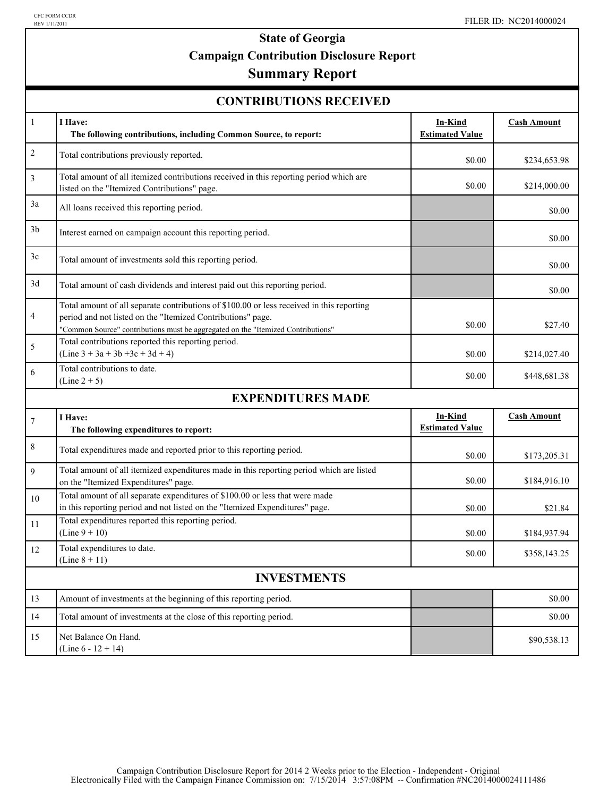# **State of Georgia Campaign Contribution Disclosure Report**

## **Summary Report**

| <b>CONTRIBUTIONS RECEIVED</b> |  |
|-------------------------------|--|
|-------------------------------|--|

| $\mathbf{1}$     | I Have:<br>The following contributions, including Common Source, to report:                                                                                                                                                                  | <b>In-Kind</b><br><b>Estimated Value</b> | <b>Cash Amount</b> |  |  |  |  |
|------------------|----------------------------------------------------------------------------------------------------------------------------------------------------------------------------------------------------------------------------------------------|------------------------------------------|--------------------|--|--|--|--|
| $\overline{c}$   | Total contributions previously reported.                                                                                                                                                                                                     | \$0.00                                   | \$234,653.98       |  |  |  |  |
| 3                | Total amount of all itemized contributions received in this reporting period which are<br>listed on the "Itemized Contributions" page.                                                                                                       | \$0.00                                   | \$214,000.00       |  |  |  |  |
| 3a               | All loans received this reporting period.                                                                                                                                                                                                    |                                          | \$0.00             |  |  |  |  |
| 3 <sub>b</sub>   | Interest earned on campaign account this reporting period.                                                                                                                                                                                   |                                          | \$0.00             |  |  |  |  |
| 3c               | Total amount of investments sold this reporting period.                                                                                                                                                                                      |                                          | \$0.00             |  |  |  |  |
| 3d               | Total amount of cash dividends and interest paid out this reporting period.                                                                                                                                                                  |                                          | \$0.00             |  |  |  |  |
| 4                | Total amount of all separate contributions of \$100.00 or less received in this reporting<br>period and not listed on the "Itemized Contributions" page.<br>"Common Source" contributions must be aggregated on the "Itemized Contributions" | \$0.00                                   | \$27.40            |  |  |  |  |
| 5                | Total contributions reported this reporting period.<br>$(Line 3 + 3a + 3b + 3c + 3d + 4)$                                                                                                                                                    | \$0.00                                   | \$214,027.40       |  |  |  |  |
| 6                | Total contributions to date.<br>$(Line 2 + 5)$                                                                                                                                                                                               | \$0.00                                   | \$448,681.38       |  |  |  |  |
|                  | <b>EXPENDITURES MADE</b>                                                                                                                                                                                                                     |                                          |                    |  |  |  |  |
| $\boldsymbol{7}$ | I Have:<br>The following expenditures to report:                                                                                                                                                                                             | In-Kind<br><b>Estimated Value</b>        | <b>Cash Amount</b> |  |  |  |  |
| $\,$ $\,$        | Total expenditures made and reported prior to this reporting period.                                                                                                                                                                         | \$0.00                                   | \$173,205.31       |  |  |  |  |
| 9                | Total amount of all itemized expenditures made in this reporting period which are listed<br>on the "Itemized Expenditures" page.                                                                                                             | \$0.00                                   | \$184,916.10       |  |  |  |  |
| 10               | Total amount of all separate expenditures of \$100.00 or less that were made<br>in this reporting period and not listed on the "Itemized Expenditures" page.                                                                                 | \$0.00                                   | \$21.84            |  |  |  |  |
| 11               | Total expenditures reported this reporting period.<br>$(Line 9 + 10)$                                                                                                                                                                        | \$0.00                                   | \$184,937.94       |  |  |  |  |
| 12               | Total expenditures to date.<br>(Line $8 + 11$ )                                                                                                                                                                                              | \$0.00                                   | \$358,143.25       |  |  |  |  |
|                  | <b>INVESTMENTS</b>                                                                                                                                                                                                                           |                                          |                    |  |  |  |  |
| 13               | Amount of investments at the beginning of this reporting period.                                                                                                                                                                             |                                          | \$0.00             |  |  |  |  |
| 14               | Total amount of investments at the close of this reporting period.                                                                                                                                                                           |                                          | \$0.00             |  |  |  |  |
| 15               | Net Balance On Hand.<br>(Line $6 - 12 + 14$ )                                                                                                                                                                                                |                                          | \$90,538.13        |  |  |  |  |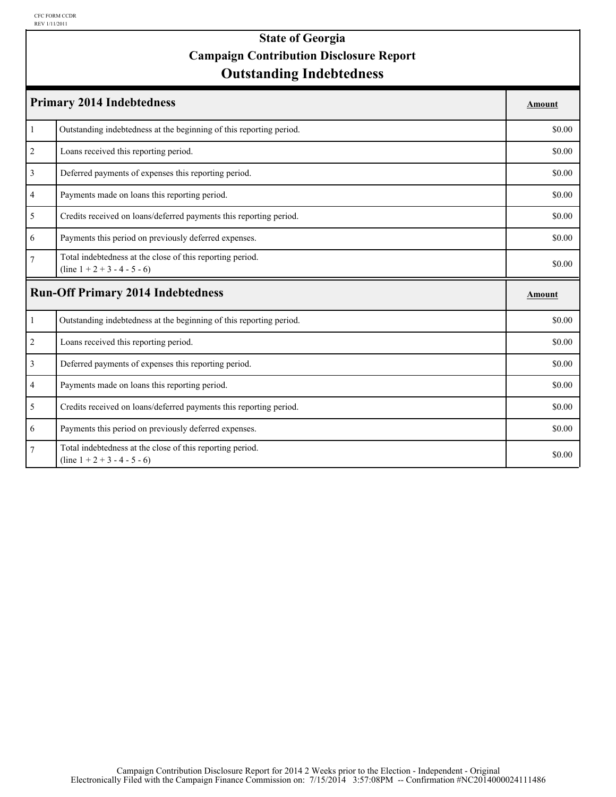### **Outstanding Indebtedness State of Georgia Campaign Contribution Disclosure Report**

| <b>Primary 2014 Indebtedness</b> |                                                                                             |        |
|----------------------------------|---------------------------------------------------------------------------------------------|--------|
| $\mathbf{1}$                     | Outstanding indebtedness at the beginning of this reporting period.                         | \$0.00 |
| $\overline{2}$                   | Loans received this reporting period.                                                       | \$0.00 |
| $\overline{3}$                   | Deferred payments of expenses this reporting period.                                        | \$0.00 |
| 4                                | Payments made on loans this reporting period.                                               | \$0.00 |
| 5                                | Credits received on loans/deferred payments this reporting period.                          | \$0.00 |
| 6                                | Payments this period on previously deferred expenses.                                       | \$0.00 |
| $\overline{7}$                   | Total indebtedness at the close of this reporting period.<br>$(line 1 + 2 + 3 - 4 - 5 - 6)$ | \$0.00 |
|                                  | <b>Run-Off Primary 2014 Indebtedness</b>                                                    | Amount |
| $\mathbf{1}$                     | Outstanding indebtedness at the beginning of this reporting period.                         | \$0.00 |
| $\overline{c}$                   | Loans received this reporting period.                                                       | \$0.00 |
| $\overline{3}$                   | Deferred payments of expenses this reporting period.                                        | \$0.00 |
| $\overline{4}$                   | Payments made on loans this reporting period.                                               | \$0.00 |
| 5                                | Credits received on loans/deferred payments this reporting period.                          | \$0.00 |
| 6                                | Payments this period on previously deferred expenses.                                       | \$0.00 |
| $\tau$                           | Total indebtedness at the close of this reporting period.<br>$(line 1 + 2 + 3 - 4 - 5 - 6)$ | \$0.00 |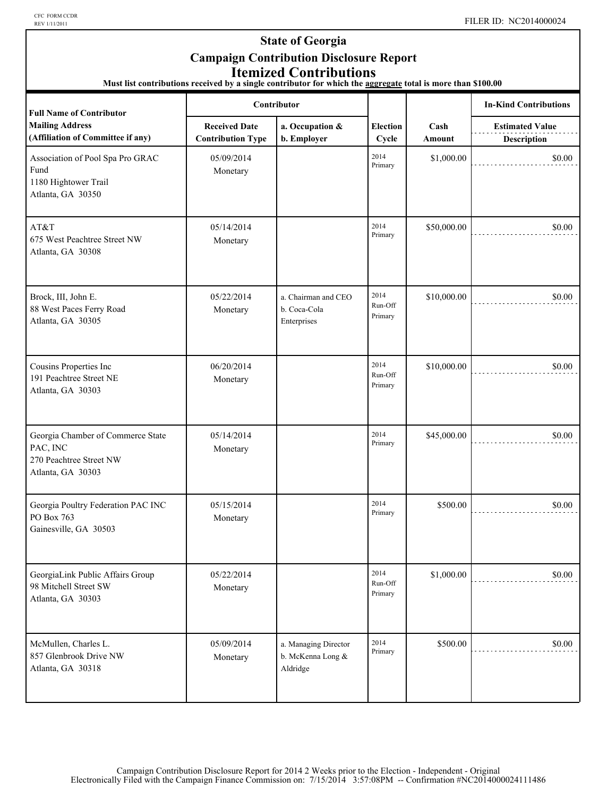CFC FORM CCDR<br>REV 1/11/2011

### **State of Georgia Campaign Contribution Disclosure Report Itemized Contributions**

**Must list contributions received by a single contributor for which the aggregate total is more than \$100.00** 

| <b>Full Name of Contributor</b>                                                               | Contributor                                      |                                                       |                            |                | <b>In-Kind Contributions</b>                 |
|-----------------------------------------------------------------------------------------------|--------------------------------------------------|-------------------------------------------------------|----------------------------|----------------|----------------------------------------------|
| <b>Mailing Address</b><br>(Affiliation of Committee if any)                                   | <b>Received Date</b><br><b>Contribution Type</b> | a. Occupation &<br>b. Employer                        | <b>Election</b><br>Cycle   | Cash<br>Amount | <b>Estimated Value</b><br><b>Description</b> |
| Association of Pool Spa Pro GRAC<br>Fund<br>1180 Hightower Trail<br>Atlanta, GA 30350         | 05/09/2014<br>Monetary                           |                                                       | 2014<br>Primary            | \$1,000.00     | \$0.00                                       |
| AT&T<br>675 West Peachtree Street NW<br>Atlanta, GA 30308                                     | 05/14/2014<br>Monetary                           |                                                       | 2014<br>Primary            | \$50,000.00    | \$0.00                                       |
| Brock, III, John E.<br>88 West Paces Ferry Road<br>Atlanta, GA 30305                          | 05/22/2014<br>Monetary                           | a. Chairman and CEO<br>b. Coca-Cola<br>Enterprises    | 2014<br>Run-Off<br>Primary | \$10,000.00    | \$0.00                                       |
| Cousins Properties Inc<br>191 Peachtree Street NE<br>Atlanta, GA 30303                        | 06/20/2014<br>Monetary                           |                                                       | 2014<br>Run-Off<br>Primary | \$10,000.00    | \$0.00                                       |
| Georgia Chamber of Commerce State<br>PAC, INC<br>270 Peachtree Street NW<br>Atlanta, GA 30303 | 05/14/2014<br>Monetary                           |                                                       | 2014<br>Primary            | \$45,000.00    | \$0.00                                       |
| Georgia Poultry Federation PAC INC<br>PO Box 763<br>Gainesville, GA 30503                     | 05/15/2014<br>Monetary                           |                                                       | 2014<br>Primary            | \$500.00       | \$0.00                                       |
| GeorgiaLink Public Affairs Group<br>98 Mitchell Street SW<br>Atlanta, GA 30303                | 05/22/2014<br>Monetary                           |                                                       | 2014<br>Run-Off<br>Primary | \$1,000.00     | \$0.00                                       |
| McMullen, Charles L.<br>857 Glenbrook Drive NW<br>Atlanta, GA 30318                           | 05/09/2014<br>Monetary                           | a. Managing Director<br>b. McKenna Long &<br>Aldridge | 2014<br>Primary            | \$500.00       | \$0.00                                       |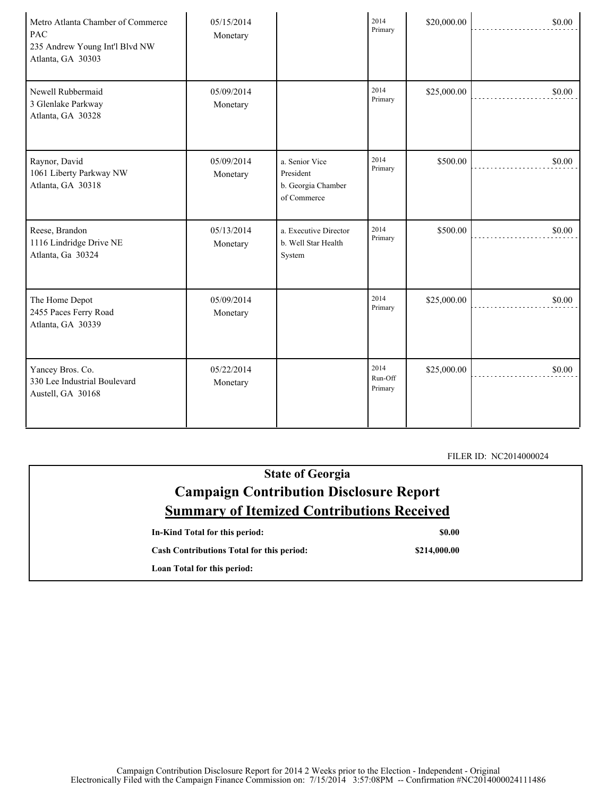| Metro Atlanta Chamber of Commerce<br>PAC<br>235 Andrew Young Int'l Blvd NW<br>Atlanta, GA 30303 | 05/15/2014<br>Monetary |                                                                  | 2014<br>Primary            | \$20,000.00 | \$0.00 |
|-------------------------------------------------------------------------------------------------|------------------------|------------------------------------------------------------------|----------------------------|-------------|--------|
| Newell Rubbermaid<br>3 Glenlake Parkway<br>Atlanta, GA 30328                                    | 05/09/2014<br>Monetary |                                                                  | 2014<br>Primary            | \$25,000.00 | \$0.00 |
| Raynor, David<br>1061 Liberty Parkway NW<br>Atlanta, GA 30318                                   | 05/09/2014<br>Monetary | a. Senior Vice<br>President<br>b. Georgia Chamber<br>of Commerce | 2014<br>Primary            | \$500.00    | \$0.00 |
| Reese, Brandon<br>1116 Lindridge Drive NE<br>Atlanta, Ga 30324                                  | 05/13/2014<br>Monetary | a. Executive Director<br>b. Well Star Health<br>System           | 2014<br>Primary            | \$500.00    | \$0.00 |
| The Home Depot<br>2455 Paces Ferry Road<br>Atlanta, GA 30339                                    | 05/09/2014<br>Monetary |                                                                  | 2014<br>Primary            | \$25,000.00 | \$0.00 |
| Yancey Bros. Co.<br>330 Lee Industrial Boulevard<br>Austell, GA 30168                           | 05/22/2014<br>Monetary |                                                                  | 2014<br>Run-Off<br>Primary | \$25,000.00 | \$0.00 |

FILER ID: NC2014000024

| <b>State of Georgia</b>                           |              |  |  |
|---------------------------------------------------|--------------|--|--|
| <b>Campaign Contribution Disclosure Report</b>    |              |  |  |
| <b>Summary of Itemized Contributions Received</b> |              |  |  |
| In-Kind Total for this period:                    | <b>SO.00</b> |  |  |
| <b>Cash Contributions Total for this period:</b>  | \$214,000.00 |  |  |
| Loan Total for this period:                       |              |  |  |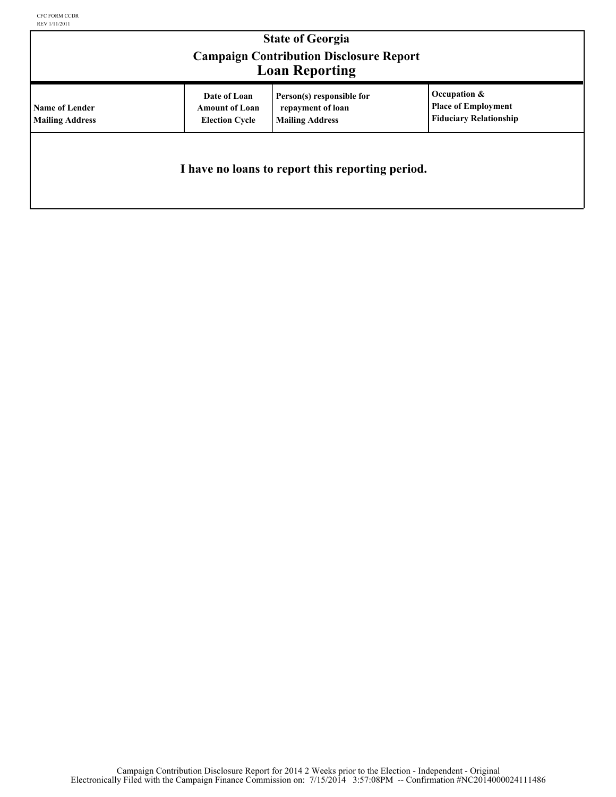| <b>State of Georgia</b><br><b>Campaign Contribution Disclosure Report</b><br><b>Loan Reporting</b> |                                                                |                                                                          |                                                                             |  |  |
|----------------------------------------------------------------------------------------------------|----------------------------------------------------------------|--------------------------------------------------------------------------|-----------------------------------------------------------------------------|--|--|
| <b>Name of Lender</b><br><b>Mailing Address</b>                                                    | Date of Loan<br><b>Amount of Loan</b><br><b>Election Cycle</b> | Person(s) responsible for<br>repayment of loan<br><b>Mailing Address</b> | Occupation &<br><b>Place of Employment</b><br><b>Fiduciary Relationship</b> |  |  |
| I have no loans to report this reporting period.                                                   |                                                                |                                                                          |                                                                             |  |  |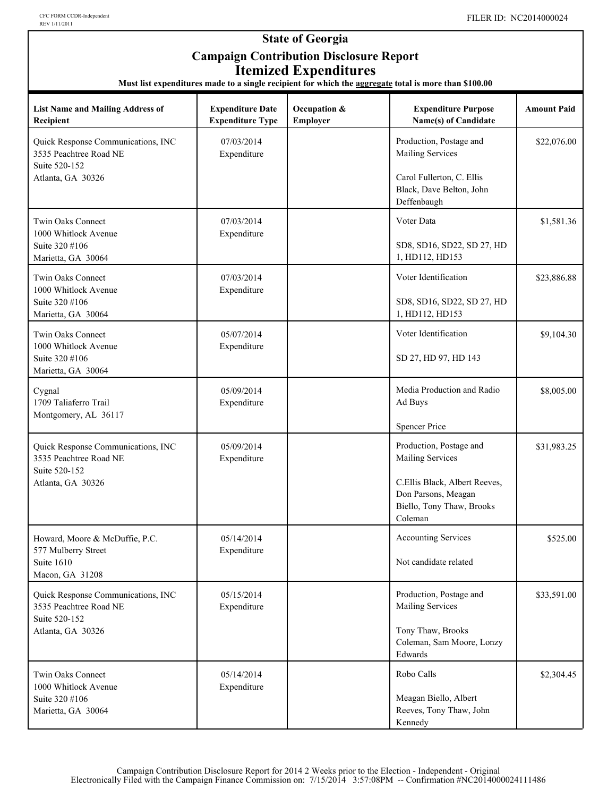#### **State of Georgia Campaign Contribution Disclosure Report Itemized Expenditures**

**Must list expenditures made to a single recipient for which the aggregate total is more than \$100.00**

| <b>List Name and Mailing Address of</b><br>Recipient                          | <b>Expenditure Date</b><br><b>Expenditure Type</b> | Occupation &<br>Employer | <b>Expenditure Purpose</b><br>Name(s) of Candidate                                           | <b>Amount Paid</b> |
|-------------------------------------------------------------------------------|----------------------------------------------------|--------------------------|----------------------------------------------------------------------------------------------|--------------------|
| Quick Response Communications, INC<br>3535 Peachtree Road NE<br>Suite 520-152 | 07/03/2014<br>Expenditure                          |                          | Production, Postage and<br><b>Mailing Services</b>                                           | \$22,076.00        |
| Atlanta, GA 30326                                                             |                                                    |                          | Carol Fullerton, C. Ellis<br>Black, Dave Belton, John<br>Deffenbaugh                         |                    |
| <b>Twin Oaks Connect</b><br>1000 Whitlock Avenue                              | 07/03/2014<br>Expenditure                          |                          | Voter Data                                                                                   | \$1,581.36         |
| Suite 320 #106<br>Marietta, GA 30064                                          |                                                    |                          | SD8, SD16, SD22, SD 27, HD<br>1, HD112, HD153                                                |                    |
| Twin Oaks Connect<br>1000 Whitlock Avenue                                     | 07/03/2014<br>Expenditure                          |                          | Voter Identification                                                                         | \$23,886.88        |
| Suite 320 #106<br>Marietta, GA 30064                                          |                                                    |                          | SD8, SD16, SD22, SD 27, HD<br>1, HD112, HD153                                                |                    |
| Twin Oaks Connect<br>1000 Whitlock Avenue                                     | 05/07/2014<br>Expenditure                          |                          | Voter Identification                                                                         | \$9,104.30         |
| Suite 320 #106<br>Marietta, GA 30064                                          |                                                    |                          | SD 27, HD 97, HD 143                                                                         |                    |
| Cygnal<br>1709 Taliaferro Trail                                               | 05/09/2014<br>Expenditure                          |                          | Media Production and Radio<br>Ad Buys                                                        | \$8,005.00         |
| Montgomery, AL 36117                                                          |                                                    |                          | <b>Spencer Price</b>                                                                         |                    |
| Quick Response Communications, INC<br>3535 Peachtree Road NE                  | 05/09/2014<br>Expenditure                          |                          | Production, Postage and<br><b>Mailing Services</b>                                           | \$31,983.25        |
| Suite 520-152<br>Atlanta, GA 30326                                            |                                                    |                          | C.Ellis Black, Albert Reeves,<br>Don Parsons, Meagan<br>Biello, Tony Thaw, Brooks<br>Coleman |                    |
| Howard, Moore & McDuffie, P.C.                                                | 05/14/2014<br>Expenditure                          |                          | <b>Accounting Services</b>                                                                   | \$525.00           |
| 577 Mulberry Street<br>Suite 1610<br>Macon, GA 31208                          |                                                    |                          | Not candidate related                                                                        |                    |
| Quick Response Communications, INC<br>3535 Peachtree Road NE                  | 05/15/2014<br>Expenditure                          |                          | Production, Postage and<br><b>Mailing Services</b>                                           | \$33,591.00        |
| Suite 520-152<br>Atlanta, GA 30326                                            |                                                    |                          | Tony Thaw, Brooks<br>Coleman, Sam Moore, Lonzy<br>Edwards                                    |                    |
| Twin Oaks Connect<br>1000 Whitlock Avenue                                     | 05/14/2014<br>Expenditure                          |                          | Robo Calls                                                                                   | \$2,304.45         |
| Suite 320 #106<br>Marietta, GA 30064                                          |                                                    |                          | Meagan Biello, Albert<br>Reeves, Tony Thaw, John<br>Kennedy                                  |                    |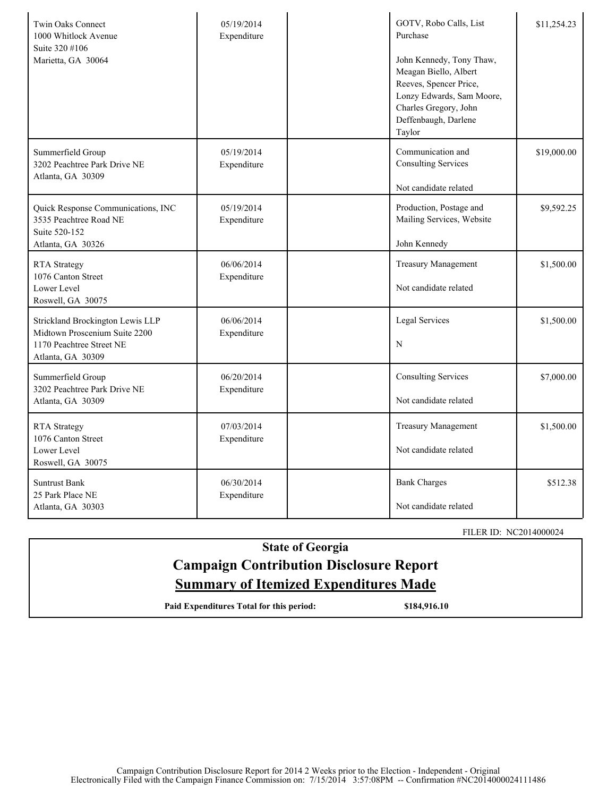| <b>Twin Oaks Connect</b><br>1000 Whitlock Avenue<br>Suite 320 #106<br>Marietta, GA 30064                           | 05/19/2014<br>Expenditure | GOTV, Robo Calls, List<br>Purchase<br>John Kennedy, Tony Thaw,<br>Meagan Biello, Albert<br>Reeves, Spencer Price,<br>Lonzy Edwards, Sam Moore,<br>Charles Gregory, John<br>Deffenbaugh, Darlene<br>Taylor | \$11,254.23 |
|--------------------------------------------------------------------------------------------------------------------|---------------------------|-----------------------------------------------------------------------------------------------------------------------------------------------------------------------------------------------------------|-------------|
| Summerfield Group<br>3202 Peachtree Park Drive NE<br>Atlanta, GA 30309                                             | 05/19/2014<br>Expenditure | Communication and<br><b>Consulting Services</b><br>Not candidate related                                                                                                                                  | \$19,000.00 |
| Quick Response Communications, INC<br>3535 Peachtree Road NE<br>Suite 520-152<br>Atlanta, GA 30326                 | 05/19/2014<br>Expenditure | Production, Postage and<br>Mailing Services, Website<br>John Kennedy                                                                                                                                      | \$9,592.25  |
| <b>RTA</b> Strategy<br>1076 Canton Street<br>Lower Level<br>Roswell, GA 30075                                      | 06/06/2014<br>Expenditure | <b>Treasury Management</b><br>Not candidate related                                                                                                                                                       | \$1,500.00  |
| Strickland Brockington Lewis LLP<br>Midtown Proscenium Suite 2200<br>1170 Peachtree Street NE<br>Atlanta, GA 30309 | 06/06/2014<br>Expenditure | Legal Services<br>N                                                                                                                                                                                       | \$1,500.00  |
| Summerfield Group<br>3202 Peachtree Park Drive NE<br>Atlanta, GA 30309                                             | 06/20/2014<br>Expenditure | <b>Consulting Services</b><br>Not candidate related                                                                                                                                                       | \$7,000.00  |
| <b>RTA</b> Strategy<br>1076 Canton Street<br>Lower Level<br>Roswell, GA 30075                                      | 07/03/2014<br>Expenditure | <b>Treasury Management</b><br>Not candidate related                                                                                                                                                       | \$1,500.00  |
| <b>Suntrust Bank</b><br>25 Park Place NE<br>Atlanta, GA 30303                                                      | 06/30/2014<br>Expenditure | <b>Bank Charges</b><br>Not candidate related                                                                                                                                                              | \$512.38    |

FILER ID: NC2014000024

## **State of Georgia Campaign Contribution Disclosure Report Summary of Itemized Expenditures Made**

Paid Expenditures Total for this period: \$184,916.10